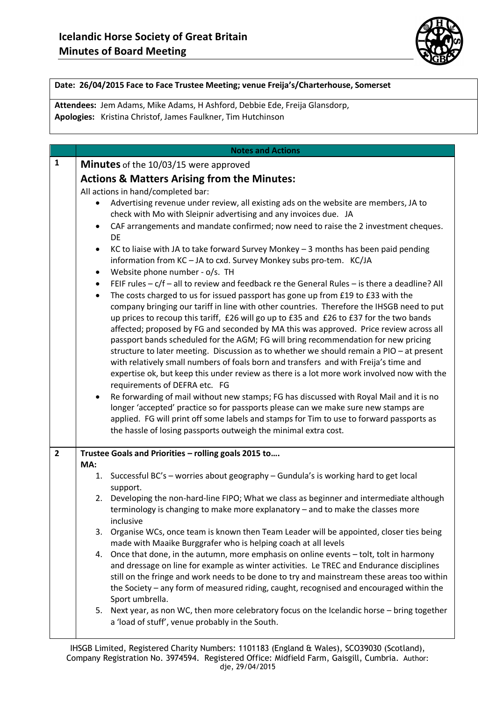

### **Date: 26/04/2015 Face to Face Trustee Meeting; venue Freija's/Charterhouse, Somerset**

**Attendees:** Jem Adams, Mike Adams, H Ashford, Debbie Ede, Freija Glansdorp, **Apologies:** Kristina Christof, James Faulkner, Tim Hutchinson

|                | <b>Notes and Actions</b>                                                                                                                                                                                                                                                                                                                                                                                                                                                                                                                                                                                                                                                                                                                                                                                                                                                                                                                                                                                                                                                                 |  |  |  |  |  |  |  |  |
|----------------|------------------------------------------------------------------------------------------------------------------------------------------------------------------------------------------------------------------------------------------------------------------------------------------------------------------------------------------------------------------------------------------------------------------------------------------------------------------------------------------------------------------------------------------------------------------------------------------------------------------------------------------------------------------------------------------------------------------------------------------------------------------------------------------------------------------------------------------------------------------------------------------------------------------------------------------------------------------------------------------------------------------------------------------------------------------------------------------|--|--|--|--|--|--|--|--|
| $\mathbf{1}$   | <b>Minutes</b> of the 10/03/15 were approved                                                                                                                                                                                                                                                                                                                                                                                                                                                                                                                                                                                                                                                                                                                                                                                                                                                                                                                                                                                                                                             |  |  |  |  |  |  |  |  |
|                | <b>Actions &amp; Matters Arising from the Minutes:</b>                                                                                                                                                                                                                                                                                                                                                                                                                                                                                                                                                                                                                                                                                                                                                                                                                                                                                                                                                                                                                                   |  |  |  |  |  |  |  |  |
|                | All actions in hand/completed bar:                                                                                                                                                                                                                                                                                                                                                                                                                                                                                                                                                                                                                                                                                                                                                                                                                                                                                                                                                                                                                                                       |  |  |  |  |  |  |  |  |
|                | Advertising revenue under review, all existing ads on the website are members, JA to                                                                                                                                                                                                                                                                                                                                                                                                                                                                                                                                                                                                                                                                                                                                                                                                                                                                                                                                                                                                     |  |  |  |  |  |  |  |  |
|                | check with Mo with Sleipnir advertising and any invoices due. JA                                                                                                                                                                                                                                                                                                                                                                                                                                                                                                                                                                                                                                                                                                                                                                                                                                                                                                                                                                                                                         |  |  |  |  |  |  |  |  |
|                | CAF arrangements and mandate confirmed; now need to raise the 2 investment cheques.<br>DE                                                                                                                                                                                                                                                                                                                                                                                                                                                                                                                                                                                                                                                                                                                                                                                                                                                                                                                                                                                                |  |  |  |  |  |  |  |  |
|                | KC to liaise with JA to take forward Survey Monkey $-3$ months has been paid pending<br>information from KC - JA to cxd. Survey Monkey subs pro-tem. KC/JA                                                                                                                                                                                                                                                                                                                                                                                                                                                                                                                                                                                                                                                                                                                                                                                                                                                                                                                               |  |  |  |  |  |  |  |  |
|                | Website phone number - o/s. TH<br>$\bullet$                                                                                                                                                                                                                                                                                                                                                                                                                                                                                                                                                                                                                                                                                                                                                                                                                                                                                                                                                                                                                                              |  |  |  |  |  |  |  |  |
|                | FEIF rules $-c/f$ – all to review and feedback re the General Rules – is there a deadline? All<br>$\bullet$<br>The costs charged to us for issued passport has gone up from £19 to £33 with the<br>$\bullet$<br>company bringing our tariff in line with other countries. Therefore the IHSGB need to put<br>up prices to recoup this tariff, £26 will go up to £35 and £26 to £37 for the two bands<br>affected; proposed by FG and seconded by MA this was approved. Price review across all<br>passport bands scheduled for the AGM; FG will bring recommendation for new pricing<br>structure to later meeting. Discussion as to whether we should remain a PIO - at present<br>with relatively small numbers of foals born and transfers and with Freija's time and<br>expertise ok, but keep this under review as there is a lot more work involved now with the<br>requirements of DEFRA etc. FG<br>Re forwarding of mail without new stamps; FG has discussed with Royal Mail and it is no<br>longer 'accepted' practice so for passports please can we make sure new stamps are |  |  |  |  |  |  |  |  |
|                | applied. FG will print off some labels and stamps for Tim to use to forward passports as<br>the hassle of losing passports outweigh the minimal extra cost.                                                                                                                                                                                                                                                                                                                                                                                                                                                                                                                                                                                                                                                                                                                                                                                                                                                                                                                              |  |  |  |  |  |  |  |  |
| $\overline{2}$ | Trustee Goals and Priorities - rolling goals 2015 to                                                                                                                                                                                                                                                                                                                                                                                                                                                                                                                                                                                                                                                                                                                                                                                                                                                                                                                                                                                                                                     |  |  |  |  |  |  |  |  |
|                | MA:<br>1. Successful BC's - worries about geography - Gundula's is working hard to get local<br>support.                                                                                                                                                                                                                                                                                                                                                                                                                                                                                                                                                                                                                                                                                                                                                                                                                                                                                                                                                                                 |  |  |  |  |  |  |  |  |
|                | Developing the non-hard-line FIPO; What we class as beginner and intermediate although<br>2.<br>terminology is changing to make more explanatory - and to make the classes more<br>inclusive                                                                                                                                                                                                                                                                                                                                                                                                                                                                                                                                                                                                                                                                                                                                                                                                                                                                                             |  |  |  |  |  |  |  |  |
|                | Organise WCs, once team is known then Team Leader will be appointed, closer ties being<br>3.<br>made with Maaike Burggrafer who is helping coach at all levels                                                                                                                                                                                                                                                                                                                                                                                                                                                                                                                                                                                                                                                                                                                                                                                                                                                                                                                           |  |  |  |  |  |  |  |  |
|                | Once that done, in the autumn, more emphasis on online events - tolt, tolt in harmony<br>4.<br>and dressage on line for example as winter activities. Le TREC and Endurance disciplines<br>still on the fringe and work needs to be done to try and mainstream these areas too within<br>the Society - any form of measured riding, caught, recognised and encouraged within the<br>Sport umbrella.                                                                                                                                                                                                                                                                                                                                                                                                                                                                                                                                                                                                                                                                                      |  |  |  |  |  |  |  |  |
|                | 5. Next year, as non WC, then more celebratory focus on the Icelandic horse - bring together<br>a 'load of stuff', venue probably in the South.                                                                                                                                                                                                                                                                                                                                                                                                                                                                                                                                                                                                                                                                                                                                                                                                                                                                                                                                          |  |  |  |  |  |  |  |  |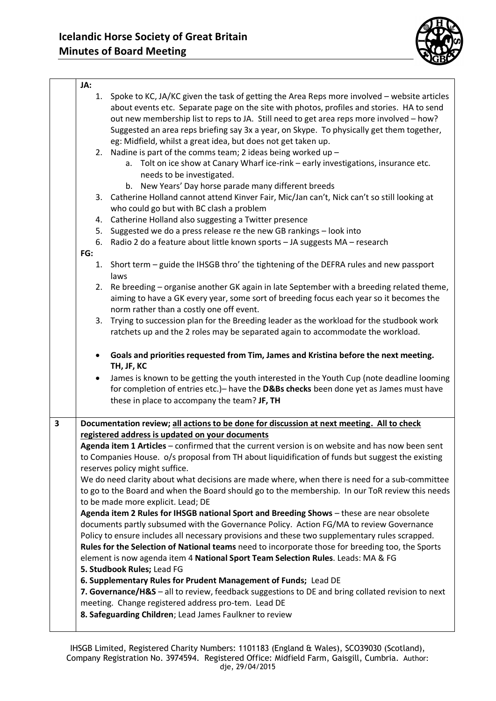

|                         | JA:       |                                                                                                   |
|-------------------------|-----------|---------------------------------------------------------------------------------------------------|
|                         | 1.        | Spoke to KC, JA/KC given the task of getting the Area Reps more involved - website articles       |
|                         |           | about events etc. Separate page on the site with photos, profiles and stories. HA to send         |
|                         |           | out new membership list to reps to JA. Still need to get area reps more involved - how?           |
|                         |           | Suggested an area reps briefing say 3x a year, on Skype. To physically get them together,         |
|                         |           | eg: Midfield, whilst a great idea, but does not get taken up.                                     |
|                         |           | 2. Nadine is part of the comms team; 2 ideas being worked up $-$                                  |
|                         |           | a. Tolt on ice show at Canary Wharf ice-rink - early investigations, insurance etc.               |
|                         |           | needs to be investigated.                                                                         |
|                         |           | b. New Years' Day horse parade many different breeds                                              |
|                         |           | 3. Catherine Holland cannot attend Kinver Fair, Mic/Jan can't, Nick can't so still looking at     |
|                         |           | who could go but with BC clash a problem                                                          |
|                         | 4.        | Catherine Holland also suggesting a Twitter presence                                              |
|                         |           | Suggested we do a press release re the new GB rankings - look into                                |
|                         | 5.<br>6.  | Radio 2 do a feature about little known sports - JA suggests MA - research                        |
|                         | FG:       |                                                                                                   |
|                         |           |                                                                                                   |
|                         | 1.        | Short term - guide the IHSGB thro' the tightening of the DEFRA rules and new passport             |
|                         | 2.        | laws<br>Re breeding - organise another GK again in late September with a breeding related theme,  |
|                         |           | aiming to have a GK every year, some sort of breeding focus each year so it becomes the           |
|                         |           | norm rather than a costly one off event.                                                          |
|                         | 3.        | Trying to succession plan for the Breeding leader as the workload for the studbook work           |
|                         |           | ratchets up and the 2 roles may be separated again to accommodate the workload.                   |
|                         |           |                                                                                                   |
|                         | $\bullet$ | Goals and priorities requested from Tim, James and Kristina before the next meeting.              |
|                         |           | TH, JF, KC                                                                                        |
|                         |           | James is known to be getting the youth interested in the Youth Cup (note deadline looming         |
|                         |           | for completion of entries etc.) - have the D&Bs checks been done yet as James must have           |
|                         |           | these in place to accompany the team? JF, TH                                                      |
|                         |           |                                                                                                   |
| $\overline{\mathbf{3}}$ |           | Documentation review; all actions to be done for discussion at next meeting. All to check         |
|                         |           | registered address is updated on your documents                                                   |
|                         |           | Agenda item 1 Articles - confirmed that the current version is on website and has now been sent   |
|                         |           | to Companies House. o/s proposal from TH about liquidification of funds but suggest the existing  |
|                         |           | reserves policy might suffice.                                                                    |
|                         |           | We do need clarity about what decisions are made where, when there is need for a sub-committee    |
|                         |           | to go to the Board and when the Board should go to the membership. In our ToR review this needs   |
|                         |           | to be made more explicit. Lead; DE                                                                |
|                         |           | Agenda item 2 Rules for IHSGB national Sport and Breeding Shows - these are near obsolete         |
|                         |           | documents partly subsumed with the Governance Policy. Action FG/MA to review Governance           |
|                         |           | Policy to ensure includes all necessary provisions and these two supplementary rules scrapped.    |
|                         |           | Rules for the Selection of National teams need to incorporate those for breeding too, the Sports  |
|                         |           | element is now agenda item 4 National Sport Team Selection Rules. Leads: MA & FG                  |
|                         |           | 5. Studbook Rules; Lead FG                                                                        |
|                         |           | 6. Supplementary Rules for Prudent Management of Funds; Lead DE                                   |
|                         |           | 7. Governance/H&S - all to review, feedback suggestions to DE and bring collated revision to next |
|                         |           | meeting. Change registered address pro-tem. Lead DE                                               |
|                         |           | 8. Safeguarding Children; Lead James Faulkner to review                                           |
|                         |           |                                                                                                   |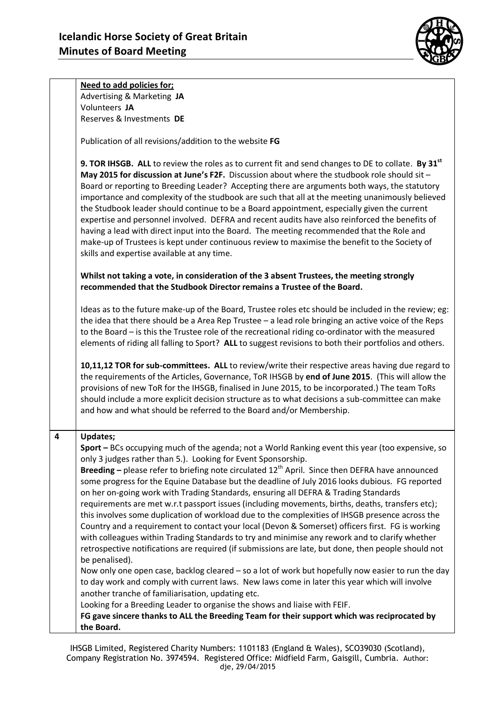

**Need to add policies for;** Advertising & Marketing **JA** Volunteers **JA** Reserves & Investments **DE**

Publication of all revisions/addition to the website **FG**

**9. TOR IHSGB. ALL** to review the roles as to current fit and send changes to DE to collate. **By 31st May 2015 for discussion at June's F2F.** Discussion about where the studbook role should sit – Board or reporting to Breeding Leader? Accepting there are arguments both ways, the statutory importance and complexity of the studbook are such that all at the meeting unanimously believed the Studbook leader should continue to be a Board appointment, especially given the current expertise and personnel involved. DEFRA and recent audits have also reinforced the benefits of having a lead with direct input into the Board. The meeting recommended that the Role and make-up of Trustees is kept under continuous review to maximise the benefit to the Society of skills and expertise available at any time.

**Whilst not taking a vote, in consideration of the 3 absent Trustees, the meeting strongly recommended that the Studbook Director remains a Trustee of the Board.** 

Ideas as to the future make-up of the Board, Trustee roles etc should be included in the review; eg: the idea that there should be a Area Rep Trustee – a lead role bringing an active voice of the Reps to the Board – is this the Trustee role of the recreational riding co-ordinator with the measured elements of riding all falling to Sport? **ALL** to suggest revisions to both their portfolios and others.

**10,11,12 TOR for sub-committees. ALL** to review/write their respective areas having due regard to the requirements of the Articles, Governance, ToR IHSGB by **end of June 2015**. (This will allow the provisions of new ToR for the IHSGB, finalised in June 2015, to be incorporated.) The team ToRs should include a more explicit decision structure as to what decisions a sub-committee can make and how and what should be referred to the Board and/or Membership.

## **4 Updates; Sport –** BCs occupying much of the agenda; not a World Ranking event this year (too expensive, so only 3 judges rather than 5.). Looking for Event Sponsorship. **Breeding –** please refer to briefing note circulated 12th April. Since then DEFRA have announced some progress for the Equine Database but the deadline of July 2016 looks dubious. FG reported

on her on-going work with Trading Standards, ensuring all DEFRA & Trading Standards requirements are met w.r.t passport issues (including movements, births, deaths, transfers etc); this involves some duplication of workload due to the complexities of IHSGB presence across the Country and a requirement to contact your local (Devon & Somerset) officers first. FG is working with colleagues within Trading Standards to try and minimise any rework and to clarify whether retrospective notifications are required (if submissions are late, but done, then people should not be penalised).

Now only one open case, backlog cleared – so a lot of work but hopefully now easier to run the day to day work and comply with current laws. New laws come in later this year which will involve another tranche of familiarisation, updating etc.

Looking for a Breeding Leader to organise the shows and liaise with FEIF.

**FG gave sincere thanks to ALL the Breeding Team for their support which was reciprocated by the Board.**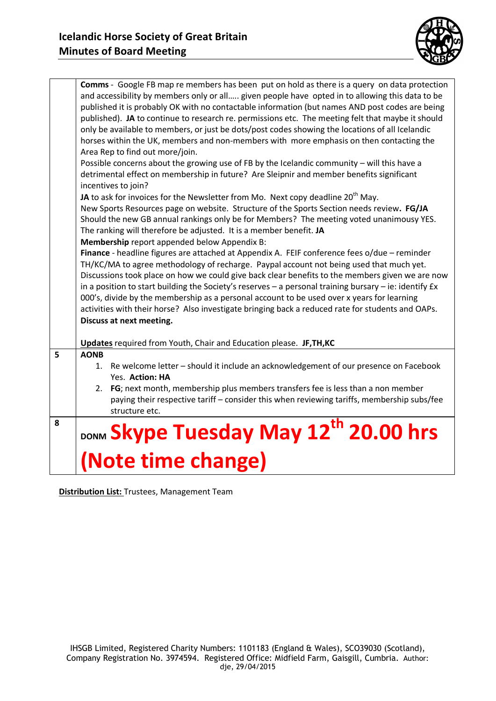

|   | <b>Comms</b> - Google FB map re members has been put on hold as there is a query on data protection      |
|---|----------------------------------------------------------------------------------------------------------|
|   | and accessibility by members only or all given people have opted in to allowing this data to be          |
|   | published it is probably OK with no contactable information (but names AND post codes are being          |
|   | published). JA to continue to research re. permissions etc. The meeting felt that maybe it should        |
|   | only be available to members, or just be dots/post codes showing the locations of all Icelandic          |
|   | horses within the UK, members and non-members with more emphasis on then contacting the                  |
|   | Area Rep to find out more/join.                                                                          |
|   | Possible concerns about the growing use of FB by the Icelandic community - will this have a              |
|   | detrimental effect on membership in future? Are Sleipnir and member benefits significant                 |
|   |                                                                                                          |
|   | incentives to join?                                                                                      |
|   | JA to ask for invoices for the Newsletter from Mo. Next copy deadline 20 <sup>th</sup> May.              |
|   | New Sports Resources page on website. Structure of the Sports Section needs review. FG/JA                |
|   | Should the new GB annual rankings only be for Members? The meeting voted unanimousy YES.                 |
|   | The ranking will therefore be adjusted. It is a member benefit. JA                                       |
|   | Membership report appended below Appendix B:                                                             |
|   | Finance - headline figures are attached at Appendix A. FEIF conference fees o/due - reminder             |
|   | TH/KC/MA to agree methodology of recharge. Paypal account not being used that much yet.                  |
|   | Discussions took place on how we could give back clear benefits to the members given we are now          |
|   | in a position to start building the Society's reserves - a personal training bursary - ie: identify $Ex$ |
|   | 000's, divide by the membership as a personal account to be used over x years for learning               |
|   | activities with their horse? Also investigate bringing back a reduced rate for students and OAPs.        |
|   | Discuss at next meeting.                                                                                 |
|   |                                                                                                          |
|   | Updates required from Youth, Chair and Education please. JF, TH, KC                                      |
| 5 | <b>AONB</b>                                                                                              |
|   | 1. Re welcome letter - should it include an acknowledgement of our presence on Facebook                  |
|   | Yes. Action: HA                                                                                          |
|   | 2. FG; next month, membership plus members transfers fee is less than a non member                       |
|   | paying their respective tariff - consider this when reviewing tariffs, membership subs/fee               |
|   | structure etc.                                                                                           |
| 8 |                                                                                                          |
|   | DONM Skype Tuesday May 12 <sup>th</sup> 20.00 hrs                                                        |
|   |                                                                                                          |
|   | (Note time change)                                                                                       |
|   |                                                                                                          |
|   |                                                                                                          |

**Distribution List:** Trustees, Management Team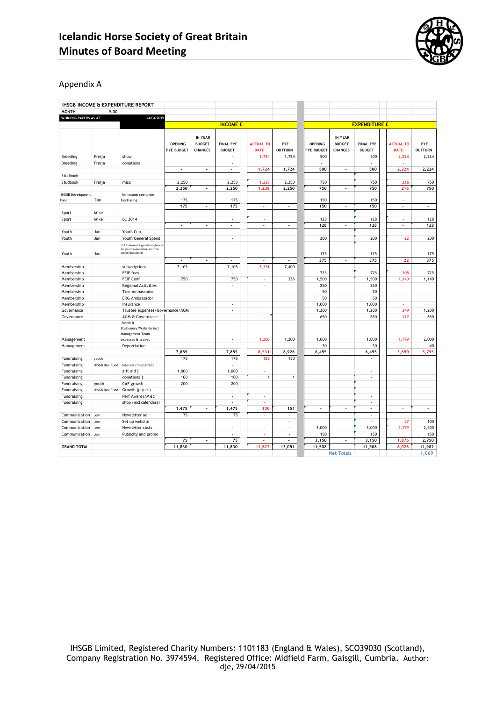

#### Appendix A

|                             |                       | IHSGB INCOME & EXPENDITURE REPORT                                                      |                   |                                 |                          |                  |                          |                |                          |                          |                  |                       |
|-----------------------------|-----------------------|----------------------------------------------------------------------------------------|-------------------|---------------------------------|--------------------------|------------------|--------------------------|----------------|--------------------------|--------------------------|------------------|-----------------------|
| <b>MONTH</b>                | 9.00                  |                                                                                        |                   |                                 |                          |                  |                          |                |                          |                          |                  |                       |
| <b>WORKING PAPERS AS AT</b> |                       | 24/04/2015                                                                             |                   |                                 |                          |                  |                          |                |                          |                          |                  |                       |
|                             |                       |                                                                                        |                   |                                 | <b>INCOME £</b>          |                  |                          |                |                          | <b>EXPENDITURE £</b>     |                  |                       |
|                             |                       |                                                                                        | <b>OPENING</b>    | <b>IN YEAR</b><br><b>BUDGET</b> | <b>FINAL FYE</b>         | <b>ACTUAL TO</b> | <b>FYE</b>               | <b>OPENING</b> | IN YEAR<br><b>BUDGET</b> | <b>FINAL FYE</b>         | <b>ACTUAL TO</b> | <b>FYE</b>            |
|                             |                       |                                                                                        | <b>FYE BUDGET</b> | <b>CHANGES</b>                  | <b>BUDGET</b>            | <b>DATE</b>      | <b>OUTTURN</b>           | FYE BUDGET     | <b>CHANGES</b>           | <b>BUDGET</b>            | <b>DATE</b>      | <b>OUTTURN</b>        |
| Breeding                    | Freija                | show                                                                                   |                   |                                 |                          | 1,724            | 1,724                    | 500            |                          | 500                      | 2,224            | 2,224                 |
| Breeding                    | Freija                | donations                                                                              |                   |                                 | $\overline{\phantom{a}}$ |                  |                          | ٠              |                          | ÷,                       |                  |                       |
|                             |                       |                                                                                        |                   | $\overline{\phantom{a}}$        | $\overline{\phantom{a}}$ | 1,724            | 1,724                    | 500            | ÷,                       | 500                      | 2,224            | 2,224                 |
| Studbook                    |                       |                                                                                        |                   |                                 |                          |                  |                          |                |                          | J.                       |                  |                       |
| Studbook                    | Freija                | misc                                                                                   | 2,250             |                                 | 2,250                    | 1,238            | 2,250                    | 750            |                          | 750                      | 216              | 750                   |
|                             |                       |                                                                                        | 2,250             | $\overline{\phantom{a}}$        | 2,250                    | 1,238            | 2,250                    | 750            | ä,                       | 750                      | 216              | 750                   |
| <b>IHSGB Development</b>    |                       | for income see under                                                                   |                   |                                 |                          |                  |                          |                |                          |                          |                  |                       |
| Fund                        | Tim                   | fundrasing                                                                             | 175               |                                 | 175                      |                  |                          | 150            |                          | 150                      |                  |                       |
|                             |                       |                                                                                        | 175               | $\overline{\phantom{a}}$        | 175                      | ä,               | ÷,                       | 150            | ÷,                       | 150                      | ä,               | $\tilde{\phantom{a}}$ |
| Sport                       | Mike                  |                                                                                        |                   |                                 | $\overline{\phantom{a}}$ |                  |                          |                |                          | ٠                        |                  |                       |
| Sport                       | Mike                  | <b>BC 2014</b>                                                                         |                   |                                 | ٠                        |                  |                          | 128            |                          | 128                      | ×                | 128                   |
|                             |                       |                                                                                        | ÷.                | ÷.                              | ÷.                       |                  | ÷                        | 128            | J.                       | 128                      |                  | 128                   |
| Youth                       | Jan                   | Youth Cup                                                                              |                   |                                 | $\overline{\phantom{a}}$ |                  |                          |                |                          | ÷                        |                  |                       |
| Youth                       | Jan                   | Youth General Spend                                                                    |                   |                                 | ٠                        |                  |                          | 200            |                          | 200                      | 22               | 200                   |
| Youth                       | Jan                   | CAF interest & growth ringfenced<br>for youth expenditure, income<br>under fundraising |                   |                                 |                          |                  |                          | 175            |                          | 175                      |                  | 175                   |
|                             |                       |                                                                                        | ÷,                | $\overline{\phantom{a}}$        | $\overline{\phantom{a}}$ | ä,               | $\overline{\phantom{a}}$ | 375            | $\overline{\phantom{a}}$ | 375                      | 22               | 375                   |
| Membership                  |                       | subscriptions                                                                          | 7,105             |                                 | 7,105                    | 7,331            | 7,400                    |                |                          | $\overline{\phantom{a}}$ |                  |                       |
| Membership                  |                       | <b>FEIF fees</b>                                                                       |                   |                                 |                          |                  |                          | 725            |                          | 725                      | 305              | 725                   |
| Membership                  |                       | FEIF Conf                                                                              | 750               |                                 | 750                      | ×                | 326                      | 1,500          |                          | 1,500                    | 1,140            | 1,140                 |
| Membership                  |                       | <b>Regional Activities</b>                                                             |                   |                                 | ٠                        | ×                |                          | 250            |                          | 250                      |                  |                       |
| Membership                  |                       | Trec Ambassador                                                                        |                   |                                 |                          |                  |                          | 50             |                          | 50                       |                  |                       |
| Membership                  |                       | ERG Ambassador                                                                         |                   |                                 |                          |                  |                          | 50             |                          | 50                       |                  |                       |
| Membership                  |                       | Insurance                                                                              |                   |                                 | ÷                        |                  |                          | 1,000          |                          | 1,000                    |                  |                       |
| Governance                  |                       | Trustee expenses/Governance/AGM                                                        |                   |                                 | ÷,                       |                  |                          | 1,200          |                          | 1,200                    | 349              | 1,200                 |
| Governance                  |                       | AGM & Governance                                                                       |                   |                                 | ٠                        | ×                |                          | 650            |                          | 650                      | 117              | 650                   |
| Management                  |                       | Admin &<br>Stationery/Website incl<br>Management Team<br>expenses & travel.            |                   |                                 |                          | 1,200            | 1,200                    | 1,000          |                          | 1,000                    | 1,779            | 2,000                 |
| Management                  |                       | Depreciation                                                                           |                   |                                 | ÷,                       |                  |                          | 30             |                          | 30                       |                  | 40                    |
|                             |                       |                                                                                        | 7,855             | $\overline{\phantom{a}}$        | 7,855                    | 8,531            | 8,926                    | 6,455          | ä,                       | 6,455                    | 3,690            | 5,755                 |
| Fundraising                 | youth                 |                                                                                        | 175               |                                 | 175                      | 129              | 150                      |                |                          |                          |                  |                       |
| Fundraising                 | <b>IHSGB Dev Fund</b> | interest/investment                                                                    |                   |                                 |                          |                  |                          |                |                          |                          |                  |                       |
| Fundraising                 |                       | gift aid }                                                                             | 1,000             |                                 | 1,000                    | ×                |                          |                |                          | ÷                        |                  |                       |
| Fundraising                 |                       | donations }                                                                            | 100               |                                 | 100                      | $\overline{1}$   | $\mathbf{1}$             |                |                          | ٠                        |                  |                       |
| Fundraising                 | youth                 | CAF growth                                                                             | 200               |                                 | 200                      |                  |                          |                |                          | $\overline{\phantom{a}}$ |                  |                       |
| Fundraising                 | <b>IHSGB Dev Fund</b> | Growth (p.y.e.)                                                                        |                   |                                 | $\overline{\phantom{a}}$ |                  |                          |                |                          | ÷                        |                  |                       |
| Fundraising                 |                       | Perf Awards/Misc                                                                       |                   |                                 | ٠                        | ÷                |                          |                |                          | ٠                        |                  |                       |
| Fundraising                 |                       | shop (incl calendars)                                                                  |                   |                                 | ٠                        | $\sim$           |                          |                |                          | $\overline{\phantom{a}}$ |                  |                       |
|                             |                       |                                                                                        | 1,475             | ٠                               | 1,475                    | 130              | 151                      | Ĭ.             |                          |                          |                  |                       |
| Communication               | Jem                   | Newsletter ad                                                                          | 75                |                                 | 75                       |                  |                          |                |                          | J.                       |                  |                       |
| Communication               | Jem                   | Set up website                                                                         |                   |                                 |                          |                  | ٠                        |                |                          | $\overline{\phantom{a}}$ | 97               | 100                   |
| Communication               | Jem                   | Newsletter costs                                                                       |                   |                                 | ٠                        | ×                |                          | 3,000          |                          | 3,000                    | 1,779            | 2,500                 |
| Communication               | Jem                   | Publicity and promo                                                                    |                   |                                 | ٠                        | ÷                | ÷,                       | 150            |                          | 150                      |                  | 150                   |
|                             |                       |                                                                                        | 75                | $\overline{\phantom{a}}$        | 75                       |                  |                          | 3,150          | ä,                       | 3,150                    | 1,876            | 2,750                 |
| <b>GRAND TOTAL</b>          |                       |                                                                                        | 11,830            | ÷,                              | 11,830                   | 11,622           | 13,051                   | 11,508         |                          | 11,508                   | 8,028            | 11,982                |
|                             |                       |                                                                                        |                   |                                 |                          |                  |                          |                | <b>Net Totals</b>        |                          |                  | 1,069                 |